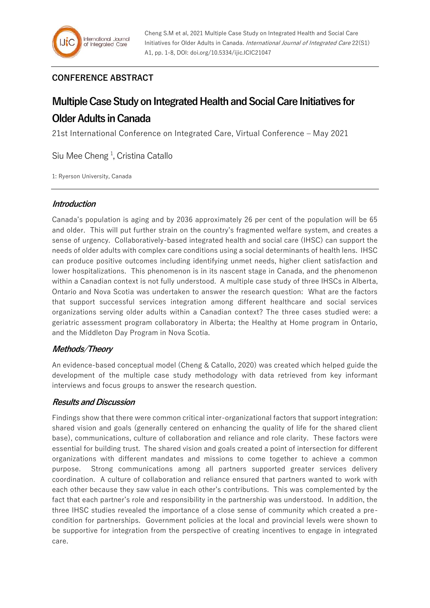## **CONFERENCE ABSTRACT**

# **Multiple Case Study on Integrated Health and Social Care Initiatives for**

# **Older Adults in Canada**

21st International Conference on Integrated Care, Virtual Conference – May 2021

Siu Mee Cheng<sup>1</sup>, Cristina Catallo

1: Ryerson University, Canada

### **Introduction**

Canada's population is aging and by 2036 approximately 26 per cent of the population will be 65 and older. This will put further strain on the country's fragmented welfare system, and creates a sense of urgency. Collaboratively-based integrated health and social care (IHSC) can support the needs of older adults with complex care conditions using a social determinants of health lens. IHSC can produce positive outcomes including identifying unmet needs, higher client satisfaction and lower hospitalizations. This phenomenon is in its nascent stage in Canada, and the phenomenon within a Canadian context is not fully understood. A multiple case study of three IHSCs in Alberta, Ontario and Nova Scotia was undertaken to answer the research question: What are the factors that support successful services integration among different healthcare and social services organizations serving older adults within a Canadian context? The three cases studied were: a geriatric assessment program collaboratory in Alberta; the Healthy at Home program in Ontario, and the Middleton Day Program in Nova Scotia.

## **Methods/Theory**

An evidence-based conceptual model (Cheng & Catallo, 2020) was created which helped guide the development of the multiple case study methodology with data retrieved from key informant interviews and focus groups to answer the research question.

### **Results and Discussion**

Findings show that there were common critical inter-organizational factors that support integration: shared vision and goals (generally centered on enhancing the quality of life for the shared client base), communications, culture of collaboration and reliance and role clarity. These factors were essential for building trust. The shared vision and goals created a point of intersection for different organizations with different mandates and missions to come together to achieve a common purpose. Strong communications among all partners supported greater services delivery coordination. A culture of collaboration and reliance ensured that partners wanted to work with each other because they saw value in each other's contributions. This was complemented by the fact that each partner's role and responsibility in the partnership was understood. In addition, the three IHSC studies revealed the importance of a close sense of community which created a precondition for partnerships. Government policies at the local and provincial levels were shown to be supportive for integration from the perspective of creating incentives to engage in integrated care.